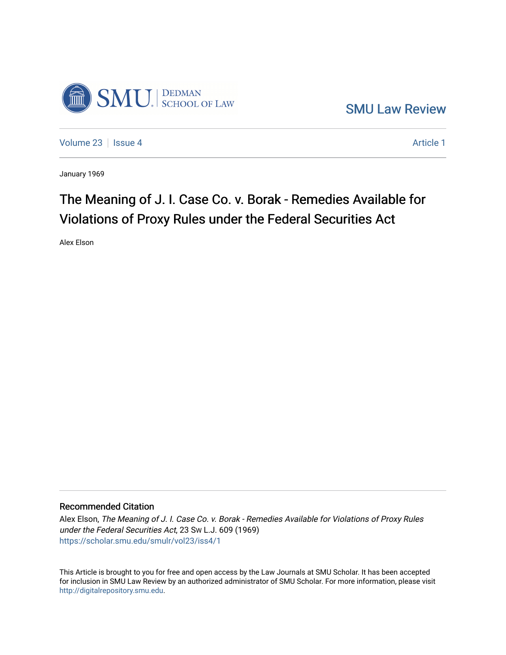

[SMU Law Review](https://scholar.smu.edu/smulr) 

[Volume 23](https://scholar.smu.edu/smulr/vol23) | [Issue 4](https://scholar.smu.edu/smulr/vol23/iss4) Article 1

January 1969

# The Meaning of J. I. Case Co. v. Borak - Remedies Available for Violations of Proxy Rules under the Federal Securities Act

Alex Elson

## Recommended Citation

Alex Elson, The Meaning of J. I. Case Co. v. Borak - Remedies Available for Violations of Proxy Rules under the Federal Securities Act, 23 SW L.J. 609 (1969) [https://scholar.smu.edu/smulr/vol23/iss4/1](https://scholar.smu.edu/smulr/vol23/iss4/1?utm_source=scholar.smu.edu%2Fsmulr%2Fvol23%2Fiss4%2F1&utm_medium=PDF&utm_campaign=PDFCoverPages) 

This Article is brought to you for free and open access by the Law Journals at SMU Scholar. It has been accepted for inclusion in SMU Law Review by an authorized administrator of SMU Scholar. For more information, please visit [http://digitalrepository.smu.edu.](http://digitalrepository.smu.edu/)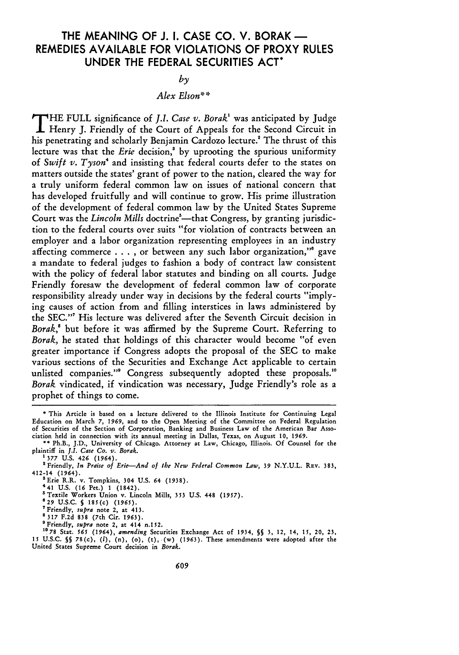# THE **MEANING** OF **J. I. CASE CO.** V. BORAK **-** REMEDIES **AVAILABLE** FOR **VIOLATIONS** OF PROXY **RULES UNDER** THE FEDERAL **SECURITIES ACT\***

### $b<sub>y</sub>$

## *Alex Elson\*\**

**T** HE FULL significance of *J.I. Case v. Boraki* was anticipated **by** Judge Henry **J.** Friendly of the Court of Appeals for the Second Circuit in his penetrating and scholarly Benjamin Cardozo lecture.<sup>2</sup> The thrust of this lecture was that the *Erie* decision,' **by** uprooting the spurious uniformity of *Swift v. Tyson4* and insisting that federal courts defer to the states on matters outside the states' grant of power to the nation, cleared the way for a truly uniform federal common law on issues of national concern that has developed fruitfully and will continue to grow. His prime illustration of the development of federal common law **by** the United States Supreme Court was the *Lincoln Mills* doctrine<sup>5</sup>—that Congress, by granting jurisdiction to the federal courts over suits "for violation of contracts between an employer and a labor organization representing employees in an industry affecting commerce  $\dots$ , or between any such labor organization," gave a mandate to federal judges to fashion a body of contract law consistent with the policy of federal labor statutes and binding on all courts. Judge Friendly foresaw the development of federal common law of corporate responsibility already under way in decisions **by** the federal courts "implying causes of action from and filling interstices in laws administered by the SEC."' His lecture was delivered after the Seventh Circuit decision in *Borak,8* but before it was affirmed by the Supreme Court. Referring to *Borak,* he stated that holdings of this character would become "of even greater importance if Congress adopts the proposal of the SEC to make various sections of the Securities and Exchange Act applicable to certain unlisted companies." Congress subsequently adopted these proposals.<sup>10</sup> *Borak* vindicated, if vindication was necessary, Judge Friendly's role as a prophet of things to come.

- **8 317 F.2d 838** (7th Cir. 1963).
- 'Friendly, *supra* note 2, at 414 n.152.

**1078** Stat. *565* (1964), *amending* Securities Exchange Act of 1934, **§§ 3, 12, 14, 15, 20, 23, <sup>15</sup>**U.S.C. **§§** 78(c), (1), (n), (o), (t),.(w) **(1963).** These amendments were adopted after the United States Supreme Court decision in *Borah.*

**<sup>\*</sup>** This Article is based on a lecture delivered to the Illinois Institute for Continuing Legal Education on March **7,** *1969,* and to the Open Meeting of the Committee on Federal Regulation of Securities of the Section of Corporation, Banking and Business Law of the American Bar Association held in connection with its annual meeting in Dallas, Texas, on August **10,** *1969.*

**<sup>\*\*</sup>** Ph.B., J.D., University of Chicago. Attorney at Law, Chicago, Illinois. **Of** Counsel for the plaintiff in *J.I. Case Co. v.* Borak.

**<sup>1 377</sup> U.S.** 426 (1964).

Friendly, *In Praise of Erie-And of the New Federal Common Law, 39* N.Y.U.L. REv. 383, **412-14 (1964).**

<sup>&</sup>lt;sup>3</sup> Erie R.R. v. Tompkins, 304 U.S. 64 (1938).

<sup>441</sup> U.S. (16 Pet.) 1 (1842).

<sup>&#</sup>x27; Textile Workers Union v. Lincoln Mills, **353** U.S. 448 (1957).

**<sup>629</sup> U.S.C. S** 185(c) **(1965).**

<sup>&#</sup>x27;Friendly, *supra* note 2, at 413.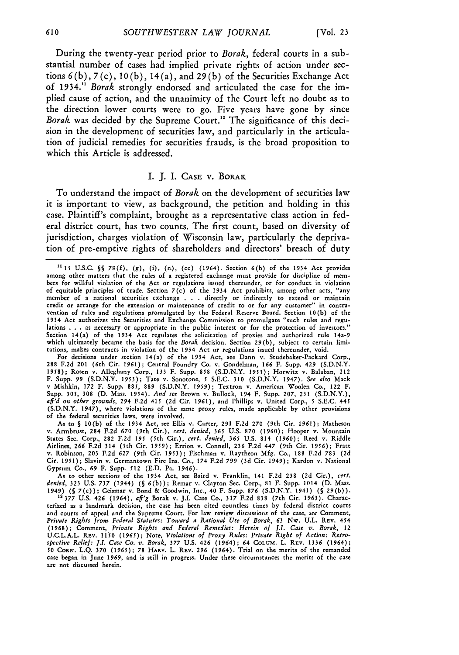During the twenty-year period prior to *Borak,* federal courts in a substantial number of cases had implied private rights of action under sections **6 (b), 7** (c), **10 (b),** 14 (a), and **29 (b)** of the Securities Exchange Act of **1934.11** *Borak* strongly endorsed and articulated the case for the implied cause of action, and the unanimity of the Court left no doubt as to the direction lower courts were to go. Five years have gone **by** since *Borak* was decided **by** the Supreme Court."2 The significance of this decision in the development of securities law, and particularly in the articulation of judicial remedies for securities frauds, is the broad proposition to which this Article is addressed.

#### I. **J.** I. **CASE** v. BORAK

To understand the impact of *Borak* on the development of securities law it is important to view, as background, the petition and holding in this case. Plaintiff's complaint, brought as a representative class action in federal district court, has two counts. The first count, based on diversity of jurisdiction, charges violation of Wisconsin law, particularly the deprivation of pre-emptive rights of shareholders and directors' breach of duty

For decisions under section 14(a) of the 1934 Act, see Dann v. Studebaker-Packard Corp., **288** F.2d 201 (6th Cir. **1961);** Central Foundry Co. v. Gondelman, **166** F. Supp. 429 (S.D.N.Y. **1958);** Rosen v. Alleghany Corp., **133** F. Supp. **858 (S.D.N.Y.** 1955); Horwitz v. Balaban, 112 **F.** Supp. 99 **(S.D.N.Y. 1953);** Tate v. Sonotone, **5** S.E.C. **310** (S.D.N.Y. 1947). *See also* Mack v Mishkin, **172** F. Supp. **885,** 889 **(S.D.N.Y.** 1959); Textron v. American Woolen Co., 122 F. Supp. 305, 308 (D. Mass. 1954). And see Brown v. Bullock, 194 F. Supp. 207, 231 (S.D.N.Y.).<br>aff'd on other grounds, 294 F.2d 415 (2d Cir. 1961), and Phillips v. United Corp., 5 S.E.C. 443 **(S.D.N.Y.** 1947), where violations of the same proxy rules, made applicable by other provisions of the federal securities laws, were involved.

As to **§** 10(b) of the 1934 Act, see Ellis v. Carter, **291 F.2d** 270 (9th Cir. 1961); Matheson v. Armbrust, 284 **F.2d** 670 (9th Cir.), *cert. denied, 365* **U.S. 870** (1960); Hooper v. Mountain States Sec. Corp., 282 F.2d *195* (5th Cir.), *cert. denied, 365* **U.S.** 814 (1960); Reed v. Riddle Airlines, **266 F.2d 314** (5th Cir. **1959);** Errion **v.** Connell, **236** F.2d **447** (9th Cir. **1956);** Fratt v. Robinson, 203 F.2d 627 (9th Cir. **1953);** Fischman v. Raytheon Mfg. Co., **188 F.2d 783** (2d Cir. **1951);** Slavin v. Germantown Fire Ins. Co., **174 F.2d** *799* **(3d** Cir. 1949); Kardon v. National Gypsum Co., *69* F. Supp. **512 (E.D.** Pa. 1946).

As to other sections of the 1934 Act, see Baird v. Franklin, 141 F.2d 238 (2d Cir.), *cert. denied,* **323 U.S.** *737* (1944) **(§** 6(b)); Remar v. Clayton Sec. Corp., **81** F. Supp. 1014 **(D.** Mass. *1949)* **(§** 7(c)); Geismar v. Bond & Goodwin, Inc., 40 F. Supp. 876 (S.D.N.Y. 1941) **(§** 29(b)).

**12377 U.S.** 426 (1964), *aff'g* Borak v. **J.1.** Case Co., **317 F.2d 838** (7th Cir. **1963).** Characterized as a landmark decision, the case has been cited countless times **by** federal district courts and courts of appeal and the Supreme Court. For law review discussions **of** the case, *see* Comment, *Private Rights from Federal Statutes: Toward a Rational Use of Borak, 63* Nw. U.L. REV. 454 (1968); Comment, *Private Rights and Federal Remedies: Herein of J.I. Case v. Borak,* 12 U.C.L.A.L. REV. 1150 *(1965);* Note, *Violations of Proxy Rules: Private Right of Action: Retrospective Relief: I.1. Case Co. v. Borak,* **377 U.S.** *426* (1964); *64* **COLUM.** L. REV. 1336 (1964); **50 CORN. L.Q. 370 (1965); 78 HARv.** L. REV. *296* (1964). Trial on the merits of the remanded case began in June **1969,** and is still in progress. Under these circumstances the merits of the case are not discussed herein.

**<sup>&#</sup>x27;115** U.S.C. **§§** *78(f),* (g), (i), (n), (cc) (1964). Section 6(b) of **the** 1934 Act provides among other matters that the rules of a registered exchange must provide for discipline of members for willful violation of the Act or regulations issued thereunder, or for conduct in violation of equitable principles of trade. Section 7(c) of the 1934 Act prohibits, among other acts, "any member of a national securities exchange **. .** . directly or indirectly to extend or maintain credit or arrange for the extension or maintenance of credit to or for any customer" in contravention of rules and regulations promulgated by the Federal Reserve Board. Section 10(b) of the 1934 Act authorizes the Securities and Exchange Commission to promulgate "such rules and regulations **. . .** as necessary or appropriate in the public interest or for the protection of investors." Section 14(a) of the **1934** Act regulates the solicitation of proxies and authorized rule 14a-9 which ultimately became the basis for the Borak decision. Section 29(b), subject to certain limitations, makes contracts in violation of the 1934 Act or regulations issued thereunder, void.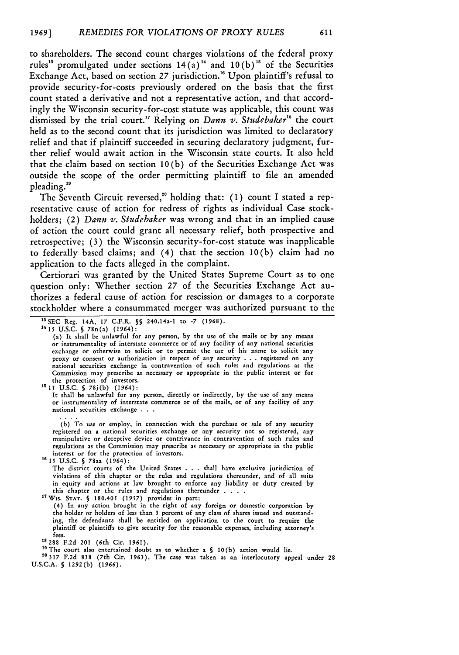to shareholders. The second count charges violations of the federal proxy rules<sup>13</sup> promulgated under sections  $14(a)$ <sup>14</sup> and  $10(b)$ <sup>15</sup> of the Securities Exchange Act, based on section **27** jurisdiction.'" Upon plaintiff's refusal to provide security-for-costs previously ordered on the basis that the first count stated a derivative and not a representative action, and that accordingly the Wisconsin security-for-cost statute was applicable, this count was dismissed by the trial court.<sup>17</sup> Relying on *Dann v. Studebaker*<sup>18</sup> the court held as to the second count that its jurisdiction was limited to declaratory relief and that if plaintiff succeeded in securing declaratory judgment, further relief would await action in the Wisconsin state courts. It also held that the claim based on section 10 (b) of the Securities Exchange Act was outside the scope of the order permitting plaintiff to file an amended pleading. "

The Seventh Circuit reversed,<sup>20</sup> holding that: (1) count I stated a representative cause of action for redress of rights as individual Case stockholders; (2) *Dann v. Studebaker* was wrong and that in an implied cause of action the court could grant all necessary relief, both prospective and retrospective; (3) the Wisconsin security-for-cost statute was inapplicable to federally based claims; and (4) that the section 10(b) claim had no application to the facts alleged in the complaint.

Certiorari was granted by the United States Supreme Court as to one question only: Whether section 27 of the Securities Exchange Act authorizes a federal cause of action for rescission or damages to a corporate stockholder where a consummated merger was authorized pursuant to the

**1415 U.S.C. §** 78n(a) **(1964):**

the protection of investors. **'515 U.S.C. §** 78j(b) (1964):

It shall be unlawful for any person, directly or indirectly, by the use of any means or instrumentality of interstate commerce or of the mails, or of any facility of any national securities exchange

(b) To use or employ, in connection with the purchase or sale of any security registered on a national securities exchange or any security not so registered, any manipulative or deceptive device or contrivance in contravention of such rules and regulations as the Commission may prescribe as necessary or appropriate in the public interest or for the protection of investors.

**1615** U.S.C. **§** 78aa (1964):

The district courts of the United States . . . shall have exclusive jurisdiction of violations of this chapter or the rules and regulations thereunder, and **of** all suits in equity and actions at law brought to enforce any liability or duty created by this chapter or the rules and regulations thereunder **....**

1 7 WIs. **STAT. §** 180.405 **(1957)** provides in part:

**(4)** In any action brought in the right of any foreign or domestic corporation by the holder or holders of less than **3** percent of any class of shares issued and outstanding, the defendants shall be entitled on application to the court to require the plaintiff or plaintiffs to give security for the reasonable expenses, including attorney's fees.<br><sup>18</sup> 288 F.2d 201 (6th Cir. 1961).

<sup>19</sup> The court also entertained doubt as to whether a § 10(b) action would lie.

**20317 F.2d 838** (7th Cir. 1963). The case was taken as an interlocutory appeal under 28 U.S.C.A. **§** 1292(b) **(1966).**

**<sup>&</sup>quot;aSEC** Reg. 14A, **17** C.F.R. **§§** 240.14a-1 to **-7 (1968).**

<sup>(</sup>a) It shall be unlawful for any person, by the use of the mails or **by** any means or instrumentality of interstate commerce or of any facility of any national securities exchange or otherwise to solicit or to permit the use of his name to solicit any proxy or consent or authorization in respect **of** any security . . . registered on any national securities exchange in contravention of such rules and regulations as the Commission may prescribe as necessary or appropriate in the public interest or for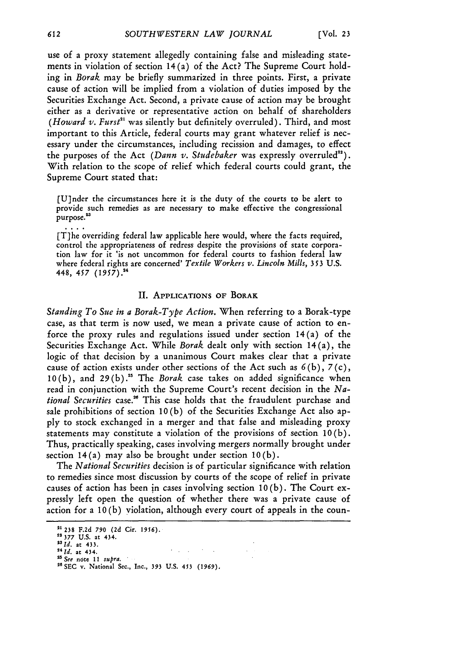use of a proxy statement allegedly containing false and misleading statements in violation of section 14 (a) of the Act? The Supreme Court holding in *Borak* may be briefly summarized in three points. First, a private cause of action will be implied from a violation of duties imposed by the Securities Exchange Act. Second, a private cause of action may be brought either as a derivative or representative action on behalf of shareholders *(Howard v. Furst"'* was silently but definitely overruled). Third, and most important to this Article, federal courts may grant whatever relief is necessary under the circumstances, including recission and damages, to effect the purposes of the Act *(Dann v. Studebaker* was expressly overruled'). With relation to the scope of relief which federal courts could grant, the Supreme Court stated that:

[U]nder the circumstances here it is the duty of the courts to be alert to provide such remedies as are necessary to make effective the congressional purpose.<sup>23</sup>

[T]he overriding federal law applicable here would, where the facts required, control the appropriateness of redress despite the provisions of state corporation law for it 'is not uncommon for federal courts to fashion federal law where federal rights are concerned' *Textile Workers v. Lincoln Mills, 353* U.S. 448, *457 (1957).24*

#### **II. APPLICATIONS OF BORAK**

*Standing To Sue in a Borak-Type Action.* When referring to a Borak-type case, as that term is now used, we mean a private cause of action to enforce the proxy rules and regulations issued under section 14 (a) of the Securities Exchange Act. While *Borak* dealt only with section 14(a), the logic of that decision by a unanimous Court makes clear that a private cause of action exists under other sections of the Act such as *6* (b), 7 (c), 10(b), and **29(b).5** The *Borak* case takes on added significance when read in conjunction with the Supreme Court's recent decision in the *National Securities* case." This case holds that the fraudulent purchase and sale prohibitions of section **10** (b) of the Securities Exchange Act also apply to stock exchanged in a merger and that false and misleading proxy statements may constitute a violation of the provisions of section 10(b). Thus, practically speaking, cases involving mergers normally brought under section 14 (a) may also be brought under section **10** (b).

The *National Securities* decision is of particular significance with relation to remedies since most discussion by courts of the scope of relief in private causes of action has been in cases involving section **10** (b). The Court expressly left open the question of whether there was a private cause of action for a **10** (b) violation, although every court of appeals in the coun-

 $\epsilon = 1/\sqrt{2}$ 

**<sup>2&#</sup>x27; 238 F.2d** *790* **(2d Cir. 1956).**

*<sup>22</sup>* **377 U.S. at 434.**

*<sup>2</sup> <sup>3</sup> 1d.* at 433. *4 1 1d.* at 434.

*<sup>2</sup>See* note 11 *supra.* **"6SEC v.** National Sec., Inc., **393 U.S. 453** *(1969).*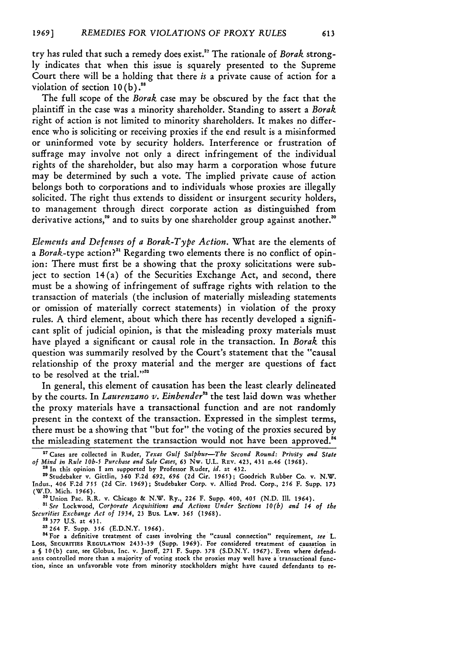try has ruled that such a remedy does exist." The rationale of *Borak* strongly indicates that when this issue is squarely presented to the Supreme Court there will be a holding that there *is* a private cause of action for a violation of section  $10(b)$ .<sup>28</sup>

The full scope of the *Borak* case may be obscured by the fact that the plaintiff in the case was a minority shareholder. Standing to assert a *Borak* right of action is not limited to minority shareholders. It makes no difference who is soliciting or receiving proxies if the end result is a misinformed or uninformed vote by security holders. Interference or frustration of suffrage may involve not only a direct infringement of the individual rights of the shareholder, but also may harm a corporation whose future may be determined by such a vote. The implied private cause of action belongs both to corporations and to individuals whose proxies are illegally solicited. The right thus extends to dissident or insurgent security holders, to management through direct corporate action as distinguished from derivative actions,<sup>29</sup> and to suits by one shareholder group against another.<sup>30</sup>

*Elements and Defenses of a Borak-Type Action.* What are the elements of a *Borak-type* action?" Regarding two elements there is no conflict of opinion: There must first be a showing that the proxy solicitations were subject to section 14(a) of the Securities Exchange Act, and second, there must be a showing of infringement of suffrage rights with relation to the transaction of materials (the inclusion of materially misleading statements or omission of materially correct statements) in violation of the proxy rules. A third element, about which there has recently developed a significant split of judicial opinion, is that the misleading proxy materials must have played a significant or causal role in the transaction. In *Borak* this question was summarily resolved by the Court's statement that the "causal relationship of the proxy material and the merger are questions of fact to be resolved at the trial."32

In general, this element of causation has been the least clearly delineated by the courts. In *Laurenzano v. Einbender*<sup>33</sup> the test laid down was whether the proxy materials have a transactional function and are not randomly present in the context of the transaction. Expressed in the simplest terms, there must be a showing that "but for" the voting of the proxies secured by the misleading statement the transaction would not have been approved.<sup>84</sup>

*"See* Lockwood, *Corporate Acquisitions and Actions Under Sections 10(b) and 14 of the Securities Exchange Act of 1934,* 23 Bus. LAw. **365** (1968). "2 **377 U.S.** at 431.

3"264 F. Supp. 356 (E.D.N.Y. **1966).**

<sup>34</sup> For a definitive treatment of cases involving the "causal connection" requirement, see L. Loss, SEcuRITIEs REGULATnON **2433-39** (Supp. **1969).** For considered treatment of causation in a **§** 10(b) case, see Globus, Inc. v. Jaroff, **271** F. Supp. **378** (S.D.N.Y. 1967). Even where defendants controlled more than a majority of voting stock the proxies may well have a'transactional function, since an unfavorable vote from minority stockholders might have caused defendants to re-

**<sup>&</sup>quot;** Cases are collected in Ruder, *Texas Gulf Sulphur-The Second Round: Privity and State of Mind in Rule lob-5 Purchase and* Sale *Cases,* **63** Nw. **U.L.** REV. 423, 431 n.46 (1968). **"8** In this opinion I am supported by Professor Ruder, *id.* **at** 432.

<sup>&</sup>lt;sup>28</sup> In this opinion I am supported by Professor Ruder, *id.* at 432.<br><sup>29</sup> Studebaker v. Gittlin, 360 F.2d 692, 696 (2d Cir. 1965); Goodrich Rubber Co. v. N.W. Indus., 406 F.2d **755** (2d Cir. **1969);** Studebaker Corp. v. Allied Prod. Corp., 256 F. Supp. **173** (W.D. Mich. 1966).

<sup>&</sup>quot;°Union Pac. R.R. v. Chicago & N.W. Ry., **226** F. Supp. 400, 405 (N.D. Ill. 1964).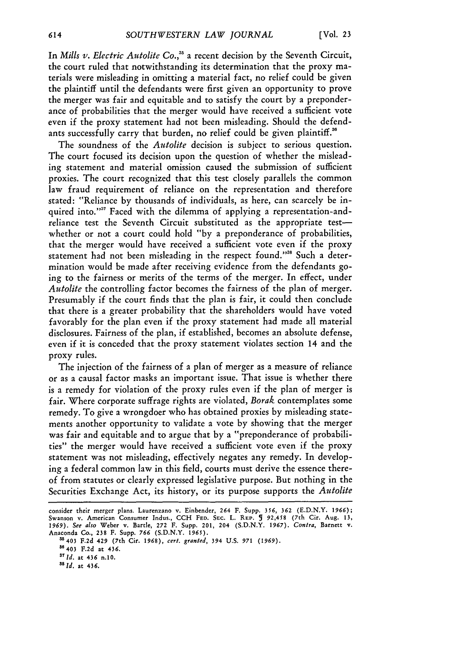In *Mills v. Electric Autolite Co.*,<sup>35</sup> a recent decision by the Seventh Circuit, the court ruled that notwithstanding its determination that the proxy materials were misleading in omitting a material fact, no relief could be given the plaintiff until the defendants were first given an opportunity to prove the merger was fair and equitable and to satisfy the court by a preponderance of probabilities that the merger would have received a sufficient vote even if the proxy statement had not been misleading. Should the defendants successfully carry that burden, no relief could be given plaintiff.<sup>36</sup>

The soundness of the *Autolite* decision is subject to serious question. The court focused its decision upon the question of whether the misleading statement and material omission caused the submission of sufficient proxies. The court recognized that this test closely parallels the common law fraud requirement of reliance on the representation and therefore stated: "Reliance by thousands of individuals, as here, can scarcely be inquired into."<sup>37</sup> Faced with the dilemma of applying a representation-andreliance test the Seventh Circuit substituted as the appropriate testwhether or not a court could hold "by a preponderance of probabilities, that the merger would have received a sufficient vote even if the proxy statement had not been misleading in the respect found."<sup>38</sup> Such a determination would be made after receiving evidence from the defendants going to the fairness or merits of the terms of the merger. In effect, under *Autolite* the controlling factor becomes the fairness of the plan of merger. Presumably if the court finds that the plan is fair, it could then conclude that there is a greater probability that the shareholders would have voted favorably for the plan even if the proxy statement had made all material disclosures. Fairness of the plan, if established, becomes an absolute defense, even if it is conceded that the proxy statement violates section 14 and the proxy rules.

The injection of the fairness of a plan of merger as a measure of reliance or as a causal factor masks an important issue. That issue is whether there is a remedy for violation of the proxy rules even if the plan of merger is fair. Where corporate suffrage rights are violated, *Borak* contemplates some remedy. To give a wrongdoer who has obtained proxies by misleading statements another opportunity to validate a vote by showing that the merger was fair and equitable and to argue that by a "preponderance of probabilities" the merger would have received a sufficient vote even if the proxy statement was not misleading, effectively negates any remedy. In developing a federal common law in this field, courts must derive the essence thereof from statutes or clearly expressed legislative purpose. But nothing in the Securities Exchange Act, its history, or its purpose supports the *Autolite*

*3 8 1d.* at 436.

consider their merger plans. Laurenzano v. Einbender, **264** F. Supp. **356, 362 (E.D.N.Y. 1966);** Swanson v. American Consumer Indus., CCH FED. SEC. L. REP. J 92,458 (7th Cir. Aug. 13.<br>1969). See also Weber v. Bartle, 272 F. Supp. 201, 204 (S.D.N.Y. 1967). *Contra*, Barnett v. Anaconda Co., 238 F. Supp. **766 (S.D.N.Y.** *1965).*

**<sup>&</sup>quot;5403 F.2d** 429 (7th Cir. **1968),** *cert. granted,* **394 U.S.** *971* **(1969).**

**s8 <sup>4</sup> <sup>0</sup> <sup>3</sup>F.2d at** 436.

*<sup>&</sup>quot; Id.* **at 436 n.10.**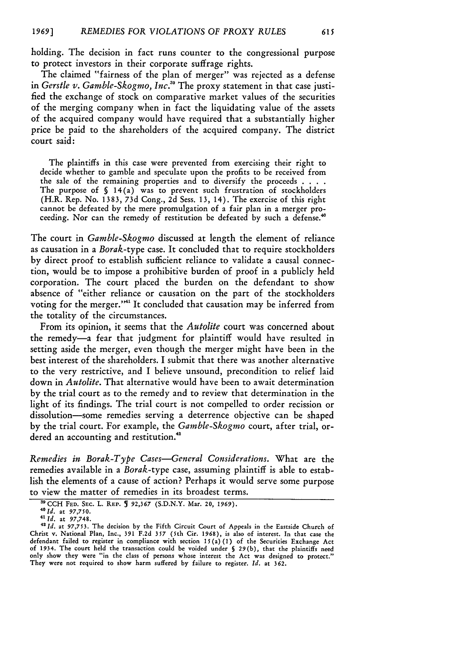holding. The decision in fact runs counter to the congressional purpose to protect investors in their corporate suffrage rights.

The claimed "fairness of the plan of merger" was rejected as a defense in *Gerstle v. Gamble-Skogmo, Inc."* The proxy statement in that case justified the exchange of stock on comparative market values of the securities of the merging company when in fact the liquidating value of the assets of the acquired company would have required that a substantially higher price be paid to the shareholders of the acquired company. The district court said:

The plaintiffs in this case were prevented from exercising their right to decide whether to gamble and speculate upon the profits to be received from the sale of the remaining properties and to diversify the proceeds **....** The purpose of **§** 14(a) was to prevent such frustration of stockholders (H.R. Rep. No. 1383, 73d Cong., 2d Sess. 13, 14). The exercise of this right cannot be defeated by the mere promulgation of a fair plan in a merger proceeding. Nor can the remedy of restitution be defeated by such a defense.'

The court in *Gamble-Skogmo* discussed at length the element of reliance as causation in a *Borak-type* case. It concluded that to require stockholders by direct proof to establish sufficient reliance to validate a causal connection, would be to impose a prohibitive burden of proof in a publicly held corporation. The court placed the burden on the defendant to show absence of "either reliance or causation on the part of the stockholders voting for the merger."<sup>41</sup> It concluded that causation may be inferred from the totality of the circumstances.

From its opinion, it seems that the *Autolite* court was concerned about the remedy-a fear that judgment for plaintiff would have resulted in setting aside the merger, even though the merger might have been in the best interest of the shareholders. I submit that there was another alternative to the very restrictive, and I believe unsound, precondition to relief laid down in *Autolite.* That alternative would have been to await determination by the trial court as to the remedy and to review that determination in the light of its findings. The trial court is not compelled to order recission or dissolution-some remedies serving a deterrence objective can be shaped by the trial court. For example, the *Gamble-Skogmo* court, after trial, ordered an accounting and restitution.<sup>42</sup>

*Remedies in Borak-Type Cases-General Considerations.* What are the remedies available in a *Borak-type* case, assuming plaintiff is able to establish the elements of a cause of action? Perhaps it would serve some purpose to view the matter of remedies in its broadest terms.

 $^{39}$  CCH FED. SEC. L. REP. **5** 92,367 **(S.D.N.Y. Mar. 20, 1969).** 

**<sup>41</sup>** *Id.* at **97,748.**

**<sup>42</sup>***Id.* at *97,753.* The decision **by** the Fifth Circuit Court of Appeals in the Eastside Church of Christ v. National Plan, Inc., 391 F.2d *357* (5th Cir. 1968), is also of interest. In that case the defendant failed to register in compliance with section *15(a)* (1) of the Securities Exchange Act of 1934. The court held the transaction could be voided under **§** 29(b), that the plaintiffs need only show they were "in the class of persons whose interest the Act was designed to protect." They were not required to show harm suffered by failure to register. *Id.* at 362.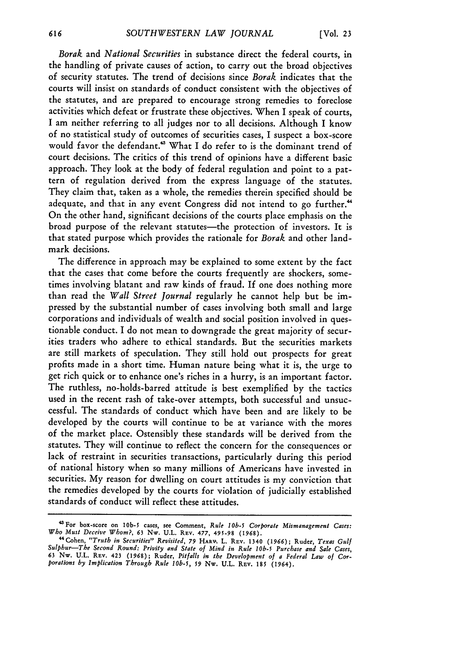*Borak* and *National Securities* in substance direct the federal courts, in the handling of private causes of action, to carry out the broad objectives of security statutes. The trend of decisions since *Borak* indicates that the courts will insist on standards of conduct consistent with the objectives of the statutes, and are prepared to encourage strong remedies to foreclose activities which defeat or frustrate these objectives. When I speak of courts, I am neither referring to all judges nor to all decisions. Although I know of no statistical study of outcomes of securities cases, I suspect a box-score would favor the defendant.<sup>43</sup> What I do refer to is the dominant trend of court decisions. The critics of this trend of opinions have a different basic approach. They look at the body of federal regulation and point to a pattern of regulation derived from the express language of the statutes. They claim that, taken as a whole, the remedies therein specified should be adequate, and that in any event Congress did not intend to go further.<sup>44</sup> On the other hand, significant decisions of the courts place emphasis on the broad purpose of the relevant statutes-the protection of investors. It is that stated purpose which provides the rationale for *Borak* and other landmark decisions.

The difference in approach may be explained to some extent by the fact that the cases that come before the courts frequently are shockers, sometimes involving blatant and raw kinds of fraud. If one does nothing more than read the *Wall Street journal* regularly he cannot help but be impressed by the substantial number of cases involving both small and large corporations and individuals of wealth and social position involved in questionable conduct. I do not mean to downgrade the great majority of securities traders who adhere to ethical standards. But the securities markets are still markets of speculation. They still hold out prospects for great profits made in a short time. Human nature being what it is, the urge to get rich quick or to enhance one's riches in a hurry, is an important factor. The ruthless, no-holds-barred attitude is best exemplified by the tactics used in the recent rash of take-over attempts, both successful and unsuccessful. The standards of conduct which have been and are likely to be developed by the courts will continue to be at variance with the mores of the market place. Ostensibly these standards will be derived from the statutes. They will continue to reflect the concern for the consequences or lack of restraint in securities transactions, particularly during this period of national history when so many millions of Americans have invested in securities. My reason for dwelling on court attitudes is my conviction that the remedies developed by the courts for violation of judicially established standards of conduct will reflect these attitudes.

<sup>&</sup>lt;sup>43</sup> For box-score on 10b-5 cases, see Comment, *Rule 10b-5 Corporate Mismanagement Cases:*<br>*Who Must Deceive Whom?*, 63 Nw. U.L. REv. 477, 495-98 (1968).

<sup>&</sup>quot;4Cohen, *"Truth in Securities" Revisited, 79* **HARV.** L. REV. 1340 *(1966);* Ruder, *Texas Gulf Sulphur-The Second Round: Privity and State of Mind in Rule* **I0b-5** *Purchase and Sale Cases,* 63 Nw. U.L. REV. 423 (1968); Ruder, Pitfalls in the Development of a Federal Law of Cor-<br>porations by Implication Through Rule 10b-5, 59 Nw. U.L. REV. 185 (1964).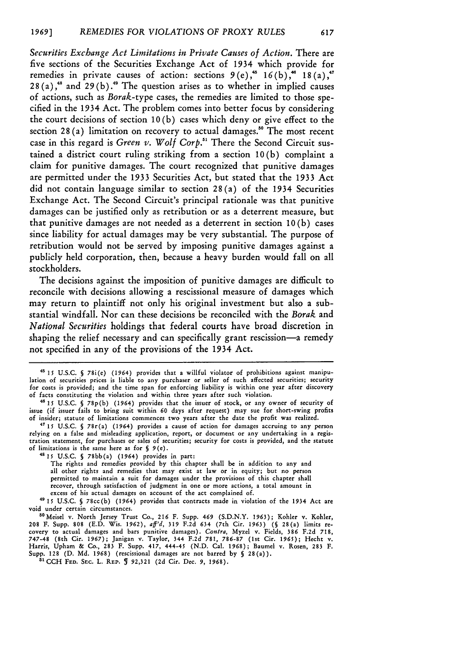*Securities Exchange Act Limitations in Private Causes of Action.* There are five sections of the Securities Exchange Act of 1934 which provide for remedies in private causes of action: sections  $9(e)$ ,<sup>45</sup>  $16(b)$ ,<sup>46</sup>  $18(a)$ ,<sup>4</sup> 28(a),<sup>48</sup> and 29(b).<sup>49</sup> The question arises as to whether in implied causes of actions, such as *Borak-type* cases, the remedies are limited to those specified in the 1934 Act. The problem comes into better focus by considering the court decisions of section 10 (b) cases which deny or give effect to the section 28 (a) limitation on recovery to actual damages." The most recent case in this regard is *Green v. Wolf Corp.51* There the Second Circuit sustained a district court ruling striking from a section 10(b) complaint a claim for punitive damages. The court recognized that punitive damages are permitted under the 1933 Securities Act, but stated that the 1933 Act did not contain language similar to section 28 (a) of the 1934 Securities Exchange Act. The Second Circuit's principal rationale was that punitive damages can be justified only as retribution or as a deterrent measure, but that punitive damages are not needed as a deterrent in section **10** (b) cases since liability for actual damages may be very substantial. The purpose of retribution would not be served by imposing punitive damages against a publicly held corporation, then, because a heavy burden would fall on all stockholders.

The decisions against the imposition of punitive damages are difficult to reconcile with decisions allowing a rescissional measure of damages which may return to plaintiff not only his original investment but also a substantial windfall. Nor can these decisions be reconciled with the *Borak* and *National Securities* holdings that federal courts have broad discretion in shaping the relief necessary and can specifically grant rescission-a remedy not specified in any of the provisions of the 1934 Act.

**48 15** U.S.C. **§** 78bb(a) (1964) provides in part:

The rights and remedies provided by this chapter shall be in addition to any and all other rights and remedies that may exist at law or in equity; but no person permitted to maintain a suit for damages under the provisions of this chapter shall recover, through satisfaction of judgment in one or more actions, a total amount in excess of his actual damages on account of the act complained of.

49 15 **U.S.C. §** 78cc(b) (1964) provides that contracts made in violation of the 1934 Act are void under certain circumstances.

<sup>50</sup> Meisel v. North Jersey Trust Co., 216 F. Supp. 469 (S.D.N.Y. 1963); Kohler v. Kohler 208 F. Supp. **808 (E.D.** Wis. 1962), *aff'd,* **319 F.2d** 634 (7th Cir. 1963) **(§** 28(a) limits recovery to actual damages and bars punitive damages). *Contra,* Myzel v. Fields, 386 **F.2d** 718, 747-48 (8th Cir. 1967); Janigan v. Taylor, 344 **F.2d** 781, 786-87 (1st Cir. 1965); Hecht v. Harris, Upham & Co., **283** F. Supp. 417, 444-45 **(N.D.** Cal. 1968); Baumel v. Rosen, 283 F. Supp. 128 **(D.** Md. 1968) (rescissional damages are not barred **by §** 28(a)). <sup>51</sup> CCH **FED.** SEc. L. RaP. **5** 92,321 (2d Cir. Dec. *9,* 1968).

<sup>4\*</sup> *15* U.S.C. **§** 78i(e) (1964) provides that a willful violator of prohibitions against manipulation of securities prices is liable to any purchaser or seller of such affected securities; security for costs is provided; and the time span for enforcing liability is within one year after discovery of facts constituting the violation and within three years after such violation.

*<sup>46</sup>***15** U.S.C. **§** 78p(b) (1964) provides that the issuer of stock, or any owner of security of issue (if issuer fails to bring suit within **60** days after request) may sue for short-swing profits of insider; statute of limitations commences two years after the date the profit was realized.

<sup>47</sup>**15** U.S.C. **§** 78r(a) (1964) provides a cause of action for damages accruing to any person relying on a false and misleading application, report, or document or any undertaking in a registration statement, for purchases or sales of securities; security for costs is provided, and the statute of limitations is the same here as **for §** 9(e).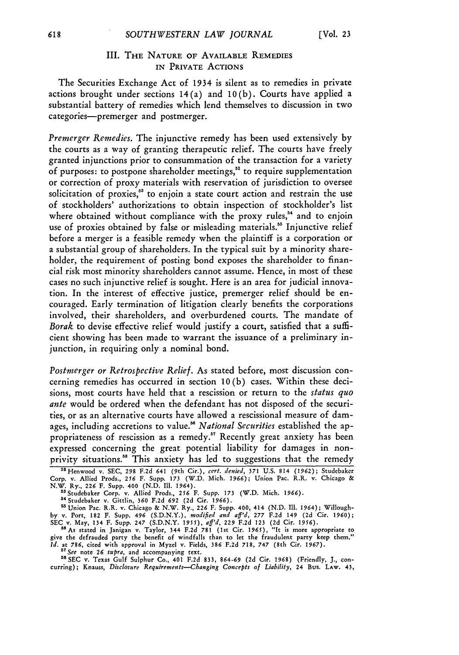## III. **THE NATURE OF AVAILABLE** REMEDIES IN PRIVATE **ACTIONS**

The Securities Exchange Act of 1934 is silent as to remedies in private actions brought under sections 14(a) and 10(b). Courts have applied a substantial battery of remedies which lend themselves to discussion in two categories-premerger and postmerger.

*Premerger Remedies.* The injunctive remedy has been used extensively by the courts as a way of granting therapeutic relief. The courts have freely granted injunctions prior to consummation of the transaction for a variety of purposes: to postpone shareholder meetings," to require supplementation or correction of proxy materials with reservation of jurisdiction to oversee solicitation of proxies,<sup>53</sup> to enjoin a state court action and restrain the use of stockholders' authorizations to obtain inspection of stockholder's list where obtained without compliance with the proxy rules,<sup>54</sup> and to enjoin use of proxies obtained by false or misleading materials." Injunctive relief before a merger is a feasible remedy when the plaintiff is a corporation or a substantial group of shareholders. In the typical suit by a minority shareholder, the requirement of posting bond exposes the shareholder to financial risk most minority shareholders cannot assume. Hence, in most of these cases no such injunctive relief is sought. Here is an area for judicial innovation. In the interest of effective justice, premerger relief should be encouraged. Early termination of litigation clearly benefits the corporations involved, their shareholders, and overburdened courts. The mandate of *Borak* to devise effective relief would justify a court, satisfied that a sufficient showing has been made to warrant the issuance of a preliminary injunction, in requiring only a nominal bond.

*Postmerger or Retrospective Relief.* As stated before, most discussion concerning remedies has occurred in section **10(b)** cases. Within these decisions, most courts have held that a rescission or return to the *status quo ante* would be ordered when the defendant has not disposed of the securities, or as an alternative courts have allowed a rescissional measure of damages, including accretions to value." *National Securities* established the appropriateness of rescission as a remedy.<sup>57</sup> Recently great anxiety has been expressed concerning the great potential liability for damages in nonprivity situations.<sup>58</sup> This anxiety has led to suggestions that the remedy

<sup>53</sup> Studebaker Corp. v. Allied Prods., 256 F. Supp. 173 (W.D. Mich. 1966)<br><sup>54</sup> Studebaker v. Gittlin, 360 F.2d 692 (2d Cir. 1966).

<sup>55</sup> Union Pac. R.R. v. Chicago & N.W. Ry., 226 F. Supp. 400, 414 (N.D. Ill. 1964); Willough-<br>by v. Port, 182 F. Supp. 496 (S.D.N.Y.), *modified and aff'd*, 277 F.2d 149 (2d Cir. 1960)<br>SEC v. May, 134 F. Supp. 247 (S.D.N.Y

<sup>56</sup> As stated in Janigan v. Taylor, 344 F.2d 781 (1st Cir. 1965), "It is more appropriate to give the defrauded party the benefit of windfalls than to let the fraudulent party keep them."<br>Id. at 786, cited with approval i

*<sup>57</sup>See* note 26 *supra,* and accompanying text.

**"8SEC** v. Texas Gulf Sulphur Co., 401 F.2d **833,** *864-69* (2d Cir. 1968) (Friendly, **J.,** concurring); Knauss, *Disclosure Requirements--Changing Concepts of Liability,* 24 Bus. **LAW.** 43,

<sup>&</sup>lt;sup>58</sup> Henwood v. SEC, 298 F.2d 641 (9th Cir.), cert. denied, 371 U.S. 814 (1962); Studebaker<br>Corp. v. Allied Prods., 256 F. Supp. 173 (W.D. Mich. 1966); Union Pac. R.R. v. Chicago &<br>N.W. Ry., 226 F. Supp. 400 (N.D. Ill. 196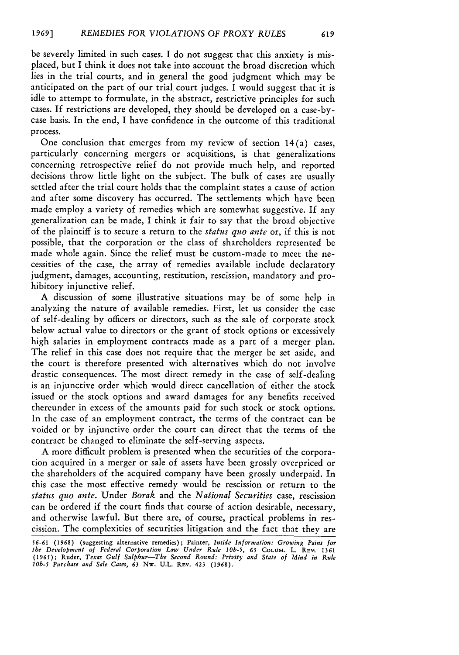be severely limited in such cases. I do not suggest that this anxiety is misplaced, but I think it does not take into account the broad discretion which lies in the trial courts, and in general the good judgment which may be anticipated on the part of our trial court judges. I would suggest that it is idle to attempt to formulate, in the abstract, restrictive principles for such cases. If restrictions are developed, they should be developed on a case-bycase basis. In the end, I have confidence in the outcome of this traditional process.

One conclusion that emerges from my review of section 14(a) cases, particularly concerning mergers or acquisitions, is that generalizations concerning retrospective relief do not provide much help, and reported decisions throw little light on the subject. The bulk of cases are usually settled after the trial court holds that the complaint states a cause of action and after some discovery has occurred. The settlements which have been made employ a variety of remedies which are somewhat suggestive. If any generalization can be made, I think it fair to say that the broad objective of the plaintiff is to secure a return to the *status quo ante* or, if this is not possible, that the corporation or the class of shareholders represented be made whole again. Since the relief must be custom-made to meet the necessities of the case, the array of remedies available include declaratory judgment, damages, accounting, restitution, rescission, mandatory and prohibitory injunctive relief.

A discussion of some illustrative situations may be of some help in analyzing the nature of available remedies. First, let us consider the case of self-dealing by officers or directors, such as the sale of corporate stock below actual value to directors or the grant of stock options or excessively high salaries in employment contracts made as a part of a merger plan. The relief in this case does not require that the merger be set aside, and the court is therefore presented with alternatives which do not involve drastic consequences. The most direct remedy in the case of self-dealing is an injunctive order which would direct cancellation of either the stock issued or the stock options and award damages for any benefits received thereunder in excess of the amounts paid for such stock or stock options. In the case of an employment contract, the terms of the contract can be voided or by injunctive order the court can direct that the terms of the contract be changed to eliminate the self-serving aspects.

A more difficult problem is presented when the securities of the corporation acquired in a merger or sale of assets have been grossly overpriced or the shareholders of the acquired company have been grossly underpaid. In this case the most effective remedy would be rescission or return to the *status quo ante.* Under *Borak* and the *National Securities* case, rescission can be ordered if the court finds that course of action desirable, necessary, and otherwise lawful. But there are, of course, practical problems in rescission. The complexities of securities litigation and the fact that they are

<sup>56-61 (1968) (</sup>suggesting alternative remedies); Painter, Inside Information: Growing Pains for<br>the Development of Federal Corporation Law Under Rule 10b-5, 65 COLUM. L. REW. 1361<br>(1965); Ruder, Texas Gulf Sulphur—The Secon 10b-5 Purchase and Sale Cases, **63 Nw. U.L. REV. 423** (1968).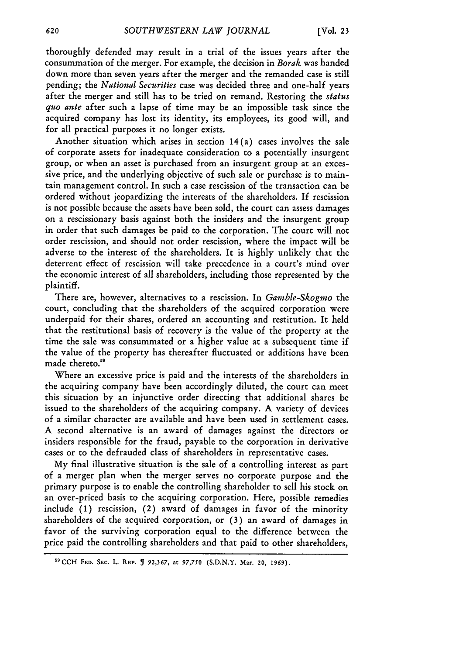thoroughly defended may result in a trial of the issues years after the consummation of the merger. For example, the decision in *Borak* was handed down more than seven years after the merger and the remanded case is still pending; the *National Securities* case was decided three and one-half years after the merger and still has to be tried on remand. Restoring the *status quo ante* after such a lapse of time may be an impossible task since the acquired company has lost its identity, its employees, its good will, and for all practical purposes it no longer exists.

Another situation which arises in section 14(a) cases involves the sale of corporate assets for inadequate consideration to a potentially insurgent group, or when an asset is purchased from an insurgent group at an excessive price, and the underlying objective of such sale or purchase is to maintain management control. In such a case rescission of the transaction can be ordered without jeopardizing the interests of the shareholders. If rescission is not possible because the assets have been sold, the court can assess damages on a rescissionary basis against both the insiders and the insurgent group in order that such damages be paid to the corporation. The court will not order rescission, and should not order rescission, where the impact will be adverse to the interest of the shareholders. It is highly unlikely that the deterrent effect of rescission will take precedence in a court's mind over the economic interest of all shareholders, including those represented by the plaintiff.

There are, however, alternatives to a rescission. In *Gamble-Skogmo* the court, concluding that the shareholders of the acquired corporation were underpaid for their shares, ordered an accounting and restitution. It held that the restitutional basis of recovery is the value of the property at the time the sale was consummated or a higher value at a subsequent time if the value of the property has thereafter fluctuated or additions have been made thereto."

Where an excessive price is paid and the interests of the shareholders in the acquiring company have been accordingly diluted, the court can meet this situation by an injunctive order directing that additional shares be issued to the shareholders of the acquiring company. A variety of devices of a similar character are available and have been used in settlement cases. A second alternative is an award of damages against the directors or insiders responsible for the fraud, payable to the corporation in derivative cases or to the defrauded class of shareholders in representative cases.

My final illustrative situation is the sale of a controlling interest as part of a merger plan when the merger serves no corporate purpose and the primary purpose is to enable the controlling shareholder to sell his stock on an over-priced basis to the acquiring corporation. Here, possible remedies include **(1)** rescission, (2) award of damages in favor of the minority shareholders of the acquired corporation, or (3) an award of damages in favor of the surviving corporation equal to the difference between the price paid the controlling shareholders and that paid to other shareholders,

aaCCH **FED. SEC.** L. REP. **5 92,367,** at *97,750* (S.D.N.Y. Mar. 20, *1969).*